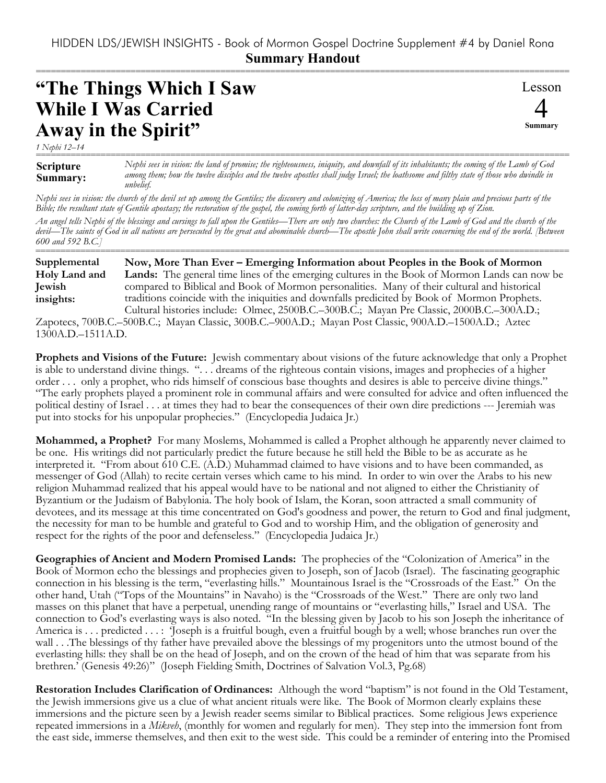## HIDDEN LDS/JEWISH INSIGHTS - Book of Mormon Gospel Doctrine Supplement #4 by Daniel Rona **Summary Handout**

===========================================================================================================

## **"The Things Which I Saw While I Was Carried Away in the Spirit"**

Lesson 4 **Summary**

*1 Nephi 12–14*

**Scripture Summary:** =========================================================================================================== *Nephi sees in vision: the land of promise; the righteousness, iniquity, and downfall of its inhabitants; the coming of the Lamb of God among them; how the twelve disciples and the twelve apostles shall judge Israel; the loathsome and filthy state of those who dwindle in unbelief.*

*Nephi sees in vision: the church of the devil set up among the Gentiles; the discovery and colonizing of America; the loss of many plain and precious parts of the Bible; the resultant state of Gentile apostasy; the restoration of the gospel, the coming forth of latter-day scripture, and the building up of Zion.*

*An angel tells Nephi of the blessings and cursings to fall upon the Gentiles—There are only two churches: the Church of the Lamb of God and the church of the devil—The saints of God in all nations are persecuted by the great and abominable church—The apostle John shall write concerning the end of the world. [Between 600 and 592 B.C.]* ===========================================================================================================

**Now, More Than Ever – Emerging Information about Peoples in the Book of Mormon Lands:** The general time lines of the emerging cultures in the Book of Mormon Lands can now be compared to Biblical and Book of Mormon personalities. Many of their cultural and historical traditions coincide with the iniquities and downfalls predicited by Book of Mormon Prophets. Cultural histories include: Olmec, 2500B.C.–300B.C.; Mayan Pre Classic, 2000B.C.–300A.D.; **Supplemental Holy Land and Jewish insights:**

Zapotecs, 700B.C.–500B.C.; Mayan Classic, 300B.C.–900A.D.; Mayan Post Classic, 900A.D.–1500A.D.; Aztec 1300A.D.–1511A.D.

**Prophets and Visions of the Future:** Jewish commentary about visions of the future acknowledge that only a Prophet is able to understand divine things. ". . . dreams of the righteous contain visions, images and prophecies of a higher order . . . only a prophet, who rids himself of conscious base thoughts and desires is able to perceive divine things." "The early prophets played a prominent role in communal affairs and were consulted for advice and often influenced the political destiny of Israel . . . at times they had to bear the consequences of their own dire predictions --- Jeremiah was put into stocks for his unpopular prophecies." (Encyclopedia Judaica Jr.)

**Mohammed, a Prophet?** For many Moslems, Mohammed is called a Prophet although he apparently never claimed to be one. His writings did not particularly predict the future because he still held the Bible to be as accurate as he interpreted it. "From about 610 C.E. (A.D.) Muhammad claimed to have visions and to have been commanded, as messenger of God (Allah) to recite certain verses which came to his mind. In order to win over the Arabs to his new religion Muhammad realized that his appeal would have to be national and not aligned to either the Christianity of Byzantium or the Judaism of Babylonia. The holy book of Islam, the Koran, soon attracted a small community of devotees, and its message at this time concentrated on God's goodness and power, the return to God and final judgment, the necessity for man to be humble and grateful to God and to worship Him, and the obligation of generosity and respect for the rights of the poor and defenseless." (Encyclopedia Judaica Jr.)

**Geographies of Ancient and Modern Promised Lands:** The prophecies of the "Colonization of America" in the Book of Mormon echo the blessings and prophecies given to Joseph, son of Jacob (Israel). The fascinating geographic connection in his blessing is the term, "everlasting hills." Mountainous Israel is the "Crossroads of the East." On the other hand, Utah ("Tops of the Mountains" in Navaho) is the "Crossroads of the West." There are only two land masses on this planet that have a perpetual, unending range of mountains or "everlasting hills," Israel and USA. The connection to God's everlasting ways is also noted. "In the blessing given by Jacob to his son Joseph the inheritance of America is ... predicted ...: Joseph is a fruitful bough, even a fruitful bough by a well; whose branches run over the wall . . .The blessings of thy father have prevailed above the blessings of my progenitors unto the utmost bound of the everlasting hills: they shall be on the head of Joseph, and on the crown of the head of him that was separate from his brethren.' (Genesis 49:26)" (Joseph Fielding Smith, Doctrines of Salvation Vol.3, Pg.68)

**Restoration Includes Clarification of Ordinances:** Although the word "baptism" is not found in the Old Testament, the Jewish immersions give us a clue of what ancient rituals were like. The Book of Mormon clearly explains these immersions and the picture seen by a Jewish reader seems similar to Biblical practices. Some religious Jews experience repeated immersions in a *Mikveh*, (monthly for women and regularly for men). They step into the immersion font from the east side, immerse themselves, and then exit to the west side. This could be a reminder of entering into the Promised